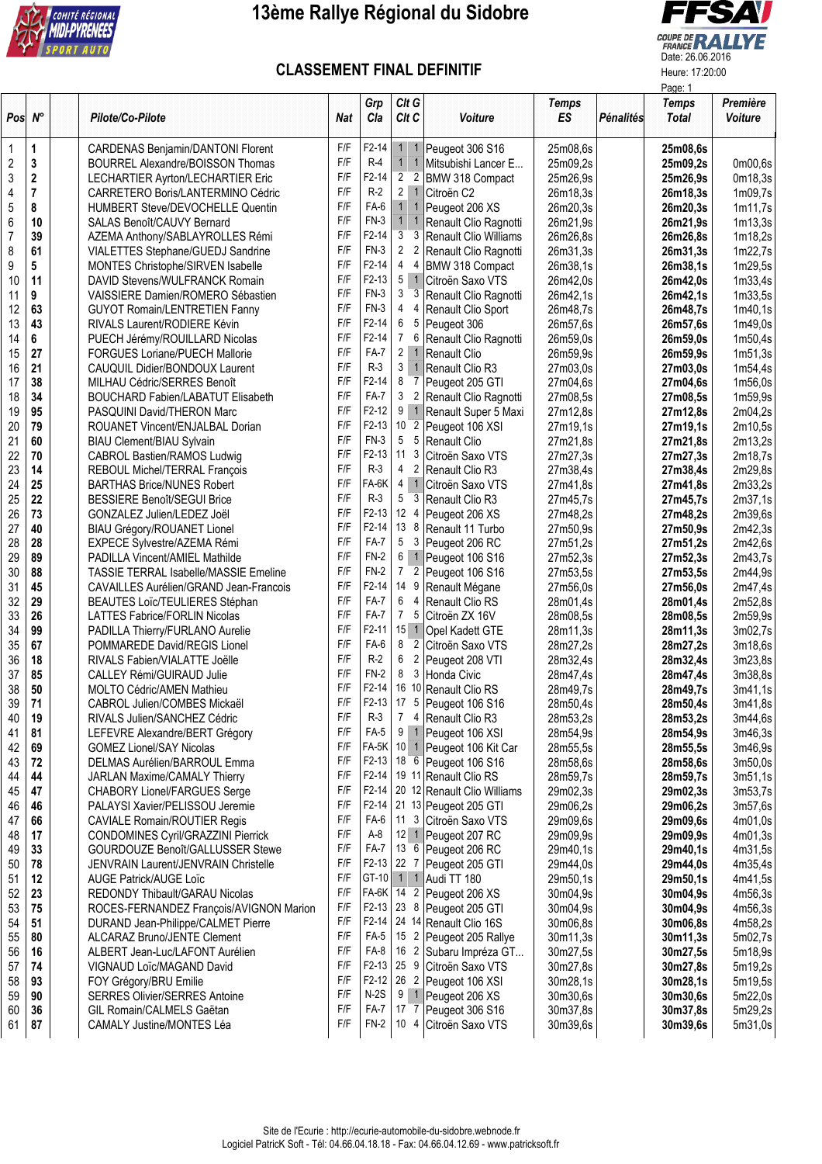

## **13ème Rallye Régional du Sidobre**



## **CLASSEMENT FINAL DEFINITIF** Heure: 17:20:00

|                    |             |                                              |            |                    |                                  |                             |                    | Page: 1   |                              |                     |  |
|--------------------|-------------|----------------------------------------------|------------|--------------------|----------------------------------|-----------------------------|--------------------|-----------|------------------------------|---------------------|--|
| $Pos \, N^{\circ}$ |             | Pilote/Co-Pilote                             | <b>Nat</b> | Grp<br>Cla         | Clt G<br>Clt C                   | Voiture                     | <b>Temps</b><br>ES | Pénalités | <b>Temps</b><br><b>Total</b> | Première<br>Voiture |  |
| 1                  | 1           | CARDENAS Benjamin/DANTONI Florent            | F/F        | $F2-14$            | $\mathbf{1}$                     | Peugeot 306 S16             | 25m08,6s           |           | 25m08,6s                     |                     |  |
| 2                  | 3           | BOURREL Alexandre/BOISSON Thomas             | F/F        | $R-4$              | 1<br>$\overline{1}$              | Mitsubishi Lancer E         | 25m09,2s           |           | 25m09,2s                     | 0m00,6s             |  |
| 3                  | $\mathbf 2$ | LECHARTIER Ayrton/LECHARTIER Eric            | F/F        | $F2-14$            | $\overline{2}$<br>$\overline{2}$ | BMW 318 Compact             | 25m26,9s           |           | 25m26,9s                     | 0m18,3s             |  |
| 4                  | 7           | CARRETERO Boris/LANTERMINO Cédric            | F/F        | $R-2$              | $\overline{2}$<br>$\overline{1}$ | Citroën C2                  | 26m18,3s           |           | 26m18,3s                     | 1m09,7s             |  |
| 5                  | 8           | HUMBERT Steve/DEVOCHELLE Quentin             | F/F        | FA-6               | 1<br>$\overline{1}$              | Peugeot 206 XS              | 26m20,3s           |           | 26m20,3s                     | 1m11,7s             |  |
| 6                  | 10          | SALAS Benoît/CAUVY Bernard                   | F/F        | $FN-3$             | $1 \quad 1$                      | Renault Clio Ragnotti       | 26m21,9s           |           | 26m21,9s                     | 1m13,3s             |  |
| $\overline{7}$     | 39          | AZEMA Anthony/SABLAYROLLES Rémi              | F/F        | $F2-14$            | 3<br>3                           | Renault Clio Williams       | 26m26,8s           |           | 26m26,8s                     | 1m18,2s             |  |
|                    | 61          |                                              | F/F        | $FN-3$             | 2 <sub>2</sub>                   | Renault Clio Ragnotti       | 26m31,3s           |           |                              |                     |  |
| 8                  |             | VIALETTES Stephane/GUEDJ Sandrine            | F/F        | $F2-14$            | 4<br>4                           |                             |                    |           | 26m31,3s                     | 1m22,7s             |  |
| 9                  | 5           | MONTES Christophe/SIRVEN Isabelle            |            |                    |                                  | BMW 318 Compact             | 26m38,1s           |           | 26m38,1s                     | 1m29,5s             |  |
| 10                 | 11          | DAVID Stevens/WULFRANCK Romain               | F/F        | $F2-13$            | $5 \mid 1$                       | Citroën Saxo VTS            | 26m42,0s           |           | 26m42,0s                     | 1m33,4s             |  |
| 11                 | 9           | VAISSIERE Damien/ROMERO Sébastien            | F/F        | $FN-3$             | 3<br>3                           | Renault Clio Ragnotti       | 26m42,1s           |           | 26m42,1s                     | 1m33,5s             |  |
| 12                 | 63          | <b>GUYOT Romain/LENTRETIEN Fanny</b>         | F/F        | $FN-3$             | 4<br>$\overline{4}$              | Renault Clio Sport          | 26m48,7s           |           | 26m48,7s                     | 1m40,1s             |  |
| 13                 | 43          | RIVALS Laurent/RODIERE Kévin                 | F/F        | $F2-14$            | 6<br>-5                          | Peugeot 306                 | 26m57,6s           |           | 26m57,6s                     | 1m49,0s             |  |
| 14                 | 6           | PUECH Jérémy/ROUILLARD Nicolas               | F/F        | $F2-14$            | $\overline{7}$<br>6              | Renault Clio Ragnotti       | 26m59,0s           |           | 26m59,0s                     | 1m50,4s             |  |
| 15                 | 27          | FORGUES Loriane/PUECH Mallorie               | F/F        | FA-7               | $2 \mid 1$                       | <b>Renault Clio</b>         | 26m59,9s           |           | 26m59,9s                     | 1m51,3s             |  |
| 16                 | 21          | CAUQUIL Didier/BONDOUX Laurent               | F/F        | $R-3$              | 3 <sup>1</sup><br>$\overline{1}$ | Renault Clio R3             | 27m03,0s           |           | 27m03,0s                     | 1m54,4s             |  |
| 17                 | 38          | MILHAU Cédric/SERRES Benoît                  | F/F        | $F2-14$            | 8<br>7                           | Peugeot 205 GTI             | 27m04,6s           |           | 27m04,6s                     | 1m56,0s             |  |
| 18                 | 34          | <b>BOUCHARD Fabien/LABATUT Elisabeth</b>     | F/F        | FA-7               | 3<br>$\overline{2}$              | Renault Clio Ragnotti       | 27m08,5s           |           | 27m08,5s                     | 1m59,9s             |  |
| 19                 | 95          | PASQUINI David/THERON Marc                   | F/F        | $F2-12$            |                                  | 9 1 Renault Super 5 Maxi    | 27m12,8s           |           | 27m12,8s                     | 2m04,2s             |  |
| 20                 | 79          | ROUANET Vincent/ENJALBAL Dorian              | F/F        | $F2-13$            | $10\overline{2}$                 | Peugeot 106 XSI             | 27m19,1s           |           | 27m19,1s                     | 2m10,5s             |  |
| 21                 | 60          | <b>BIAU Clement/BIAU Sylvain</b>             | F/F        | $FN-3$             | 5<br>5                           | Renault Clio                | 27m21.8s           |           | 27m21,8s                     | 2m13,2s             |  |
| 22                 | 70          | CABROL Bastien/RAMOS Ludwig                  | F/F        | $F2-13$            | 11 <sub>3</sub>                  | Citroën Saxo VTS            | 27m27,3s           |           | 27m27,3s                     | 2m18,7s             |  |
| 23                 | 14          | REBOUL Michel/TERRAL François                | F/F        | $R-3$              | 4 <sub>2</sub>                   | Renault Clio R3             | 27m38,4s           |           | 27m38,4s                     | 2m29,8s             |  |
| 24                 | 25          | <b>BARTHAS Brice/NUNES Robert</b>            | F/F        | FA-6K              | $4 \mid 1$                       | Citroën Saxo VTS            | 27m41,8s           |           | 27m41,8s                     | 2m33,2s             |  |
| 25                 | 22          | <b>BESSIERE Benoît/SEGUI Brice</b>           | F/F        | $R-3$              | 5<br>3                           | Renault Clio R3             | 27m45,7s           |           | 27m45,7s                     | 2m37,1s             |  |
| 26                 | 73          | GONZALEZ Julien/LEDEZ Joël                   | F/F        | $F2-13$            | 12 <sub>4</sub>                  | Peugeot 206 XS              | 27m48,2s           |           | 27m48,2s                     | 2m39,6s             |  |
| 27                 | 40          | BIAU Grégory/ROUANET Lionel                  | F/F        | $F2-14$            | 13 8                             | Renault 11 Turbo            | 27m50,9s           |           | 27m50,9s                     | 2m42,3s             |  |
| 28                 | 28          | EXPECE Sylvestre/AZEMA Rémi                  | F/F        | FA-7               | 5 <sup>3</sup>                   | Peugeot 206 RC              | 27m51,2s           |           | 27m51,2s                     | 2m42,6s             |  |
| 29                 | 89          | PADILLA Vincent/AMIEL Mathilde               | F/F        | $FN-2$             |                                  | 6 1 Peugeot 106 S16         | 27m52,3s           |           | 27m52,3s                     | 2m43,7s             |  |
| 30                 | 88          | <b>TASSIE TERRAL Isabelle/MASSIE Emeline</b> | F/F        | $FN-2$             | $7^{\circ}$<br>$\overline{2}$    | Peugeot 106 S16             | 27m53,5s           |           | 27m53,5s                     | 2m44,9s             |  |
| 31                 | 45          |                                              | F/F        | $F2-14$            | 14 9                             | Renault Mégane              | 27m56,0s           |           |                              | 2m47,4s             |  |
|                    |             | CAVAILLES Aurélien/GRAND Jean-Francois       | F/F        | FA-7               | 6<br>4                           |                             |                    |           | 27m56,0s                     |                     |  |
| 32                 | 29          | BEAUTES Loïc/TEULIERES Stéphan               | F/F        | FA-7               | 7 <sub>5</sub>                   | Renault Clio RS             | 28m01,4s           |           | 28m01,4s                     | 2m52,8s             |  |
| 33                 | 26          | <b>LATTES Fabrice/FORLIN Nicolas</b>         | F/F        | $F2-11$            |                                  | Citroën ZX 16V              | 28m08,5s           |           | 28m08,5s                     | 2m59,9s             |  |
| 34                 | 99          | PADILLA Thierry/FURLANO Aurelie              |            |                    | $15$ 1                           | Opel Kadett GTE             | 28m11,3s           |           | 28m11,3s                     | 3m02,7s             |  |
| 35                 | 67          | POMMAREDE David/REGIS Lionel                 | F/F        | FA-6               | 8<br>$\overline{2}$              | Citroën Saxo VTS            | 28m27,2s           |           | 28m27,2s                     | 3m18,6s             |  |
| 36                 | 18          | RIVALS Fabien/VIALATTE Joëlle                | F/F        | $R-2$              | 6<br>$\overline{2}$              | Peugeot 208 VTI             | 28m32,4s           |           | 28m32,4s                     | 3m23,8s             |  |
| 37                 | 85          | <b>CALLEY Rémi/GUIRAUD Julie</b>             | F/F        | $FN-2$             | 8<br>$\mathbf{3}$                | Honda Civic                 | 28m47,4s           |           | 28m47,4s                     | 3m38,8s             |  |
| 38                 | 50          | <b>MOLTO Cédric/AMEN Mathieu</b>             | F/F        | $F2-14$            | 16 10                            | Renault Clio RS             | 28m49,7s           |           | 28m49,7s                     | 3m41,1s             |  |
| 39                 | 71          | CABROL Julien/COMBES Mickaël                 | F/F        | F2-13              | 17 <sub>5</sub>                  | Peugeot 106 S16             | 28m50,4s           |           | 28m50,4s                     | 3m41,8s             |  |
| 40                 | 19          | RIVALS Julien/SANCHEZ Cédric                 | F/F        | $R-3$              | $\overline{7}$<br>4              | Renault Clio R3             | 28m53,2s           |           | 28m53,2s                     | 3m44,6s             |  |
| 41                 | 81          | LEFEVRE Alexandre/BERT Grégory               | F/F        | FA-5               |                                  | 9 1 Peugeot 106 XSI         | 28m54,9s           |           | 28m54,9s                     | 3m46,3s             |  |
| 42                 | 69          | <b>GOMEZ Lionel/SAY Nicolas</b>              | F/F        | $FA-5K$            |                                  | 10 1 Peugeot 106 Kit Car    | 28m55.5s           |           | 28m55,5s                     | 3m46,9s             |  |
| 43                 | 72          | DELMAS Aurélien/BARROUL Emma                 | F/F        | F2-13              | 18 6                             | Peugeot 106 S16             | 28m58,6s           |           | 28m58,6s                     | 3m50,0s             |  |
| 44                 | 44          | JARLAN Maxime/CAMALY Thierry                 | F/F        | $F2-14$            |                                  | 19 11 Renault Clio RS       | 28m59,7s           |           | 28m59,7s                     | 3m51,1s             |  |
| 45                 | 47          | <b>CHABORY Lionel/FARGUES Serge</b>          | F/F        | $F2-14$            |                                  | 20 12 Renault Clio Williams | 29m02,3s           |           | 29m02,3s                     | 3m53,7s             |  |
| 46                 | 46          | PALAYSI Xavier/PELISSOU Jeremie              | F/F        | F <sub>2</sub> -14 |                                  | 21 13 Peugeot 205 GTI       | 29m06,2s           |           | 29m06,2s                     | 3m57,6s             |  |
| 47                 | 66          | <b>CAVIALE Romain/ROUTIER Regis</b>          | F/F        | FA-6               | 11 <sup>3</sup>                  | Citroën Saxo VTS            | 29m09,6s           |           | 29m09,6s                     | 4m01,0s             |  |
| 48                 | 17          | CONDOMINES Cyril/GRAZZINI Pierrick           | F/F        | $A-8$              |                                  | 12 1 Peugeot 207 RC         | 29m09,9s           |           | 29m09,9s                     | 4m01,3s             |  |
| 49                 | 33          | GOURDOUZE Benoît/GALLUSSER Stewe             | F/F        | FA-7               | 13 6                             | Peugeot 206 RC              | 29m40,1s           |           | 29m40,1s                     | 4m31,5s             |  |
| 50                 | 78          | <b>JENVRAIN Laurent/JENVRAIN Christelle</b>  | F/F        | F2-13              | 22 7                             | Peugeot 205 GTI             | 29m44,0s           |           | 29m44.0s                     | 4m35,4s             |  |
| 51                 | 12          | <b>AUGE Patrick/AUGE Loïc</b>                | F/F        | $GT-10$            | $1 \mid 1$                       | Audi TT 180                 | 29m50,1s           |           | 29m50.1s                     | 4m41,5s             |  |
| 52                 | 23          | <b>REDONDY Thibault/GARAU Nicolas</b>        | F/F        | FA-6K              | $142$                            | Peugeot 206 XS              | 30m04,9s           |           | 30m04,9s                     | 4m56,3s             |  |
| 53                 | 75          | ROCES-FERNANDEZ François/AVIGNON Marion      | F/F        | F2-13              | 23 8                             | Peugeot 205 GTI             | 30m04,9s           |           | 30m04,9s                     | 4m56,3s             |  |
| 54                 | 51          | DURAND Jean-Philippe/CALMET Pierre           | F/F        | F <sub>2</sub> -14 |                                  | 24 14 Renault Clio 16S      | 30m06,8s           |           | 30m06,8s                     | 4m58,2s             |  |
| 55                 | 80          | ALCARAZ Bruno/JENTE Clement                  | F/F        | FA-5               | 15 2                             | Peugeot 205 Rallye          | 30m11,3s           |           | 30m11,3s                     | 5m02,7s             |  |
| 56                 | 16          | ALBERT Jean-Luc/LAFONT Aurélien              | F/F        | FA-8               | 16 2                             | Subaru Impréza GT           | 30m27,5s           |           | 30m27,5s                     | 5m18,9s             |  |
| 57                 | 74          | VIGNAUD Loïc/MAGAND David                    | F/F        | F2-13              | 25 9                             | Citroën Saxo VTS            | 30m27,8s           |           | 30m27,8s                     | 5m19,2s             |  |
| 58                 | 93          | FOY Grégory/BRU Emilie                       | F/F        | $F2-12$            | 26 2                             | Peugeot 106 XSI             | 30m28,1s           |           | 30m28,1s                     | 5m19,5s             |  |
| 59                 | 90          | <b>SERRES Olivier/SERRES Antoine</b>         | F/F        | $N-2S$             |                                  | 9 1 Peugeot 206 XS          | 30m30,6s           |           | 30m30.6s                     | 5m22,0s             |  |
| 60                 | 36          | GIL Romain/CALMELS Gaëtan                    | F/F        | <b>FA-7</b>        | 17 <sub>7</sub>                  | Peugeot 306 S16             | 30m37,8s           |           |                              |                     |  |
| 61                 | 87          | <b>CAMALY Justine/MONTES Léa</b>             | F/F        | $FN-2$             | 104                              | Citroën Saxo VTS            |                    |           | 30m37,8s                     | 5m29,2s             |  |
|                    |             |                                              |            |                    |                                  |                             | 30m39,6s           |           | 30m39,6s                     | 5m31,0s             |  |